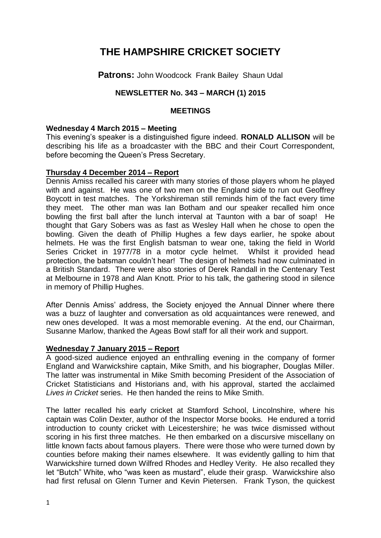# **THE HAMPSHIRE CRICKET SOCIETY**

**Patrons: John Woodcock Frank Bailey Shaun Udal** 

## **NEWSLETTER No. 343 – MARCH (1) 2015**

## **MEETINGS**

### **Wednesday 4 March 2015 – Meeting**

This evening's speaker is a distinguished figure indeed. **RONALD ALLISON** will be describing his life as a broadcaster with the BBC and their Court Correspondent, before becoming the Queen's Press Secretary.

## **Thursday 4 December 2014 – Report**

Dennis Amiss recalled his career with many stories of those players whom he played with and against. He was one of two men on the England side to run out Geoffrey Boycott in test matches. The Yorkshireman still reminds him of the fact every time they meet. The other man was Ian Botham and our speaker recalled him once bowling the first ball after the lunch interval at Taunton with a bar of soap! He thought that Gary Sobers was as fast as Wesley Hall when he chose to open the bowling. Given the death of Phillip Hughes a few days earlier, he spoke about helmets. He was the first English batsman to wear one, taking the field in World Series Cricket in 1977/78 in a motor cycle helmet. Whilst it provided head protection, the batsman couldn't hear! The design of helmets had now culminated in a British Standard. There were also stories of Derek Randall in the Centenary Test at Melbourne in 1978 and Alan Knott. Prior to his talk, the gathering stood in silence in memory of Phillip Hughes.

After Dennis Amiss' address, the Society enjoyed the Annual Dinner where there was a buzz of laughter and conversation as old acquaintances were renewed, and new ones developed. It was a most memorable evening. At the end, our Chairman, Susanne Marlow, thanked the Ageas Bowl staff for all their work and support.

#### **Wednesday 7 January 2015 – Report**

A good-sized audience enjoyed an enthralling evening in the company of former England and Warwickshire captain, Mike Smith, and his biographer, Douglas Miller. The latter was instrumental in Mike Smith becoming President of the Association of Cricket Statisticians and Historians and, with his approval, started the acclaimed *Lives in Cricket* series. He then handed the reins to Mike Smith.

The latter recalled his early cricket at Stamford School, Lincolnshire, where his captain was Colin Dexter, author of the Inspector Morse books. He endured a torrid introduction to county cricket with Leicestershire; he was twice dismissed without scoring in his first three matches. He then embarked on a discursive miscellany on little known facts about famous players. There were those who were turned down by counties before making their names elsewhere. It was evidently galling to him that Warwickshire turned down Wilfred Rhodes and Hedley Verity. He also recalled they let "Butch" White, who "was keen as mustard", elude their grasp. Warwickshire also had first refusal on Glenn Turner and Kevin Pietersen. Frank Tyson, the quickest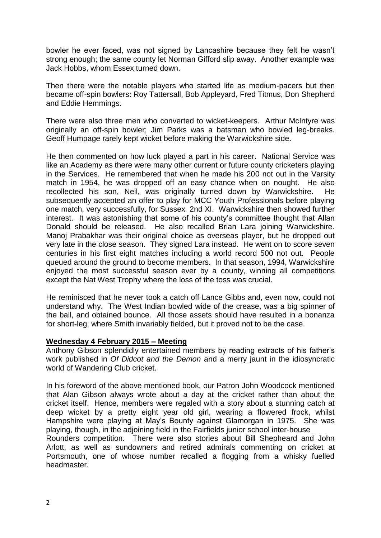bowler he ever faced, was not signed by Lancashire because they felt he wasn't strong enough; the same county let Norman Gifford slip away. Another example was Jack Hobbs, whom Essex turned down.

Then there were the notable players who started life as medium-pacers but then became off-spin bowlers: Roy Tattersall, Bob Appleyard, Fred Titmus, Don Shepherd and Eddie Hemmings.

There were also three men who converted to wicket-keepers. Arthur McIntyre was originally an off-spin bowler; Jim Parks was a batsman who bowled leg-breaks. Geoff Humpage rarely kept wicket before making the Warwickshire side.

He then commented on how luck played a part in his career. National Service was like an Academy as there were many other current or future county cricketers playing in the Services. He remembered that when he made his 200 not out in the Varsity match in 1954, he was dropped off an easy chance when on nought. He also recollected his son, Neil, was originally turned down by Warwickshire. He subsequently accepted an offer to play for MCC Youth Professionals before playing one match, very successfully, for Sussex 2nd XI. Warwickshire then showed further interest. It was astonishing that some of his county's committee thought that Allan Donald should be released. He also recalled Brian Lara joining Warwickshire. Manoj Prabakhar was their original choice as overseas player, but he dropped out very late in the close season. They signed Lara instead. He went on to score seven centuries in his first eight matches including a world record 500 not out. People queued around the ground to become members. In that season, 1994, Warwickshire enjoyed the most successful season ever by a county, winning all competitions except the Nat West Trophy where the loss of the toss was crucial.

He reminisced that he never took a catch off Lance Gibbs and, even now, could not understand why. The West Indian bowled wide of the crease, was a big spinner of the ball, and obtained bounce. All those assets should have resulted in a bonanza for short-leg, where Smith invariably fielded, but it proved not to be the case.

## **Wednesday 4 February 2015 – Meeting**

Anthony Gibson splendidly entertained members by reading extracts of his father's work published in *Of Didcot and the Demon* and a merry jaunt in the idiosyncratic world of Wandering Club cricket.

In his foreword of the above mentioned book, our Patron John Woodcock mentioned that Alan Gibson always wrote about a day at the cricket rather than about the cricket itself. Hence, members were regaled with a story about a stunning catch at deep wicket by a pretty eight year old girl, wearing a flowered frock, whilst Hampshire were playing at May's Bounty against Glamorgan in 1975. She was playing, though, in the adjoining field in the Fairfields junior school inter-house

Rounders competition. There were also stories about Bill Shepheard and John Arlott, as well as sundowners and retired admirals commenting on cricket at Portsmouth, one of whose number recalled a flogging from a whisky fuelled headmaster.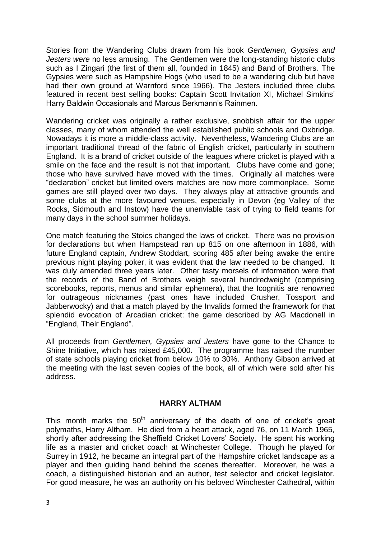Stories from the Wandering Clubs drawn from his book *Gentlemen, Gypsies and Jesters were* no less amusing. The Gentlemen were the long-standing historic clubs such as I Zingari (the first of them all, founded in 1845) and Band of Brothers. The Gypsies were such as Hampshire Hogs (who used to be a wandering club but have had their own ground at Warnford since 1966). The Jesters included three clubs featured in recent best selling books: Captain Scott Invitation XI, Michael Simkins' Harry Baldwin Occasionals and Marcus Berkmann's Rainmen.

Wandering cricket was originally a rather exclusive, snobbish affair for the upper classes, many of whom attended the well established public schools and Oxbridge. Nowadays it is more a middle-class activity. Nevertheless, Wandering Clubs are an important traditional thread of the fabric of English cricket, particularly in southern England. It is a brand of cricket outside of the leagues where cricket is played with a smile on the face and the result is not that important. Clubs have come and gone; those who have survived have moved with the times. Originally all matches were "declaration" cricket but limited overs matches are now more commonplace. Some games are still played over two days. They always play at attractive grounds and some clubs at the more favoured venues, especially in Devon (eg Valley of the Rocks, Sidmouth and Instow) have the unenviable task of trying to field teams for many days in the school summer holidays.

One match featuring the Stoics changed the laws of cricket. There was no provision for declarations but when Hampstead ran up 815 on one afternoon in 1886, with future England captain, Andrew Stoddart, scoring 485 after being awake the entire previous night playing poker, it was evident that the law needed to be changed. It was duly amended three years later. Other tasty morsels of information were that the records of the Band of Brothers weigh several hundredweight (comprising scorebooks, reports, menus and similar ephemera), that the Icognitis are renowned for outrageous nicknames (past ones have included Crusher, Tossport and Jabberwocky) and that a match played by the Invalids formed the framework for that splendid evocation of Arcadian cricket: the game described by AG Macdonell in "England, Their England".

All proceeds from *Gentlemen, Gypsies and Jesters* have gone to the Chance to Shine Initiative, which has raised £45,000. The programme has raised the number of state schools playing cricket from below 10% to 30%. Anthony Gibson arrived at the meeting with the last seven copies of the book, all of which were sold after his address.

## **HARRY ALTHAM**

This month marks the  $50<sup>th</sup>$  anniversary of the death of one of cricket's great polymaths, Harry Altham. He died from a heart attack, aged 76, on 11 March 1965, shortly after addressing the Sheffield Cricket Lovers' Society. He spent his working life as a master and cricket coach at Winchester College. Though he played for Surrey in 1912, he became an integral part of the Hampshire cricket landscape as a player and then guiding hand behind the scenes thereafter. Moreover, he was a coach, a distinguished historian and an author, test selector and cricket legislator. For good measure, he was an authority on his beloved Winchester Cathedral, within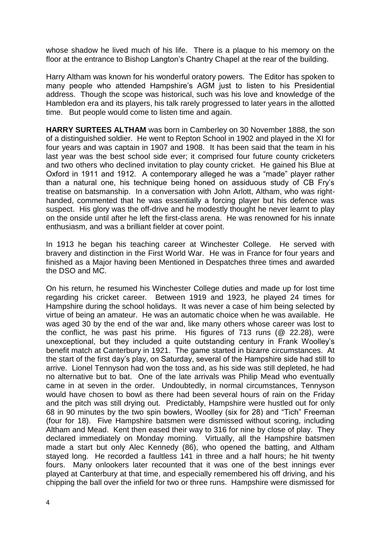whose shadow he lived much of his life. There is a plaque to his memory on the floor at the entrance to Bishop Langton's Chantry Chapel at the rear of the building.

Harry Altham was known for his wonderful oratory powers. The Editor has spoken to many people who attended Hampshire's AGM just to listen to his Presidential address. Though the scope was historical, such was his love and knowledge of the Hambledon era and its players, his talk rarely progressed to later years in the allotted time. But people would come to listen time and again.

**HARRY SURTEES ALTHAM** was born in Camberley on 30 November 1888, the son of a distinguished soldier. He went to Repton School in 1902 and played in the XI for four years and was captain in 1907 and 1908. It has been said that the team in his last year was the best school side ever; it comprised four future county cricketers and two others who declined invitation to play county cricket. He gained his Blue at Oxford in 1911 and 1912. A contemporary alleged he was a "made" player rather than a natural one, his technique being honed on assiduous study of CB Fry's treatise on batsmanship. In a conversation with John Arlott, Altham, who was righthanded, commented that he was essentially a forcing player but his defence was suspect. His glory was the off-drive and he modestly thought he never learnt to play on the onside until after he left the first-class arena. He was renowned for his innate enthusiasm, and was a brilliant fielder at cover point.

In 1913 he began his teaching career at Winchester College. He served with bravery and distinction in the First World War. He was in France for four years and finished as a Major having been Mentioned in Despatches three times and awarded the DSO and MC.

On his return, he resumed his Winchester College duties and made up for lost time regarding his cricket career. Between 1919 and 1923, he played 24 times for Hampshire during the school holidays. It was never a case of him being selected by virtue of being an amateur. He was an automatic choice when he was available. He was aged 30 by the end of the war and, like many others whose career was lost to the conflict, he was past his prime. His figures of 713 runs (@ 22.28), were unexceptional, but they included a quite outstanding century in Frank Woolley's benefit match at Canterbury in 1921. The game started in bizarre circumstances. At the start of the first day's play, on Saturday, several of the Hampshire side had still to arrive. Lionel Tennyson had won the toss and, as his side was still depleted, he had no alternative but to bat. One of the late arrivals was Philip Mead who eventually came in at seven in the order. Undoubtedly, in normal circumstances, Tennyson would have chosen to bowl as there had been several hours of rain on the Friday and the pitch was still drying out. Predictably, Hampshire were hustled out for only 68 in 90 minutes by the two spin bowlers, Woolley (six for 28) and "Tich" Freeman (four for 18). Five Hampshire batsmen were dismissed without scoring, including Altham and Mead. Kent then eased their way to 316 for nine by close of play. They declared immediately on Monday morning. Virtually, all the Hampshire batsmen made a start but only Alec Kennedy (86), who opened the batting, and Altham stayed long. He recorded a faultless 141 in three and a half hours; he hit twenty fours. Many onlookers later recounted that it was one of the best innings ever played at Canterbury at that time, and especially remembered his off driving, and his chipping the ball over the infield for two or three runs. Hampshire were dismissed for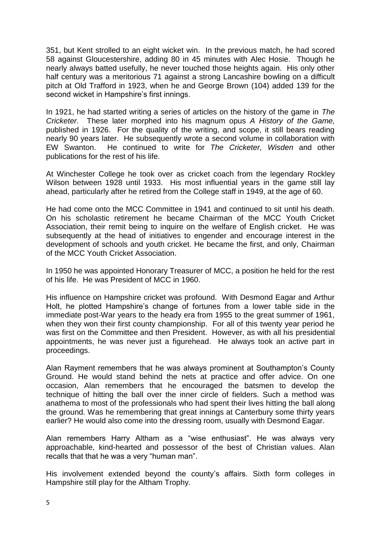351, but Kent strolled to an eight wicket win. In the previous match, he had scored 58 against Gloucestershire, adding 80 in 45 minutes with Alec Hosie. Though he nearly always batted usefully, he never touched those heights again. His only other half century was a meritorious 71 against a strong Lancashire bowling on a difficult pitch at Old Trafford in 1923, when he and George Brown (104) added 139 for the second wicket in Hampshire's first innings.

In 1921, he had started writing a series of articles on the history of the game in *The Cricketer.* These later morphed into his magnum opus *A History of the Game,* published in 1926. For the quality of the writing, and scope, it still bears reading nearly 90 years later. He subsequently wrote a second volume in collaboration with EW Swanton. He continued to write for *The Cricketer, Wisden* and other publications for the rest of his life.

At Winchester College he took over as cricket coach from the legendary Rockley Wilson between 1928 until 1933. His most influential years in the game still lay ahead, particularly after he retired from the College staff in 1949, at the age of 60.

He had come onto the MCC Committee in 1941 and continued to sit until his death. On his scholastic retirement he became Chairman of the MCC Youth Cricket Association, their remit being to inquire on the welfare of English cricket. He was subsequently at the head of initiatives to engender and encourage interest in the development of schools and youth cricket. He became the first, and only, Chairman of the MCC Youth Cricket Association.

In 1950 he was appointed Honorary Treasurer of MCC, a position he held for the rest of his life. He was President of MCC in 1960.

His influence on Hampshire cricket was profound. With Desmond Eagar and Arthur Holt, he plotted Hampshire's change of fortunes from a lower table side in the immediate post-War years to the heady era from 1955 to the great summer of 1961, when they won their first county championship. For all of this twenty year period he was first on the Committee and then President. However, as with all his presidential appointments, he was never just a figurehead. He always took an active part in proceedings.

Alan Rayment remembers that he was always prominent at Southampton's County Ground. He would stand behind the nets at practice and offer advice. On one occasion, Alan remembers that he encouraged the batsmen to develop the technique of hitting the ball over the inner circle of fielders. Such a method was anathema to most of the professionals who had spent their lives hitting the ball along the ground. Was he remembering that great innings at Canterbury some thirty years earlier? He would also come into the dressing room, usually with Desmond Eagar.

Alan remembers Harry Altham as a "wise enthusiast". He was always very approachable, kind-hearted and possessor of the best of Christian values. Alan recalls that that he was a very "human man".

His involvement extended beyond the county's affairs. Sixth form colleges in Hampshire still play for the Altham Trophy.